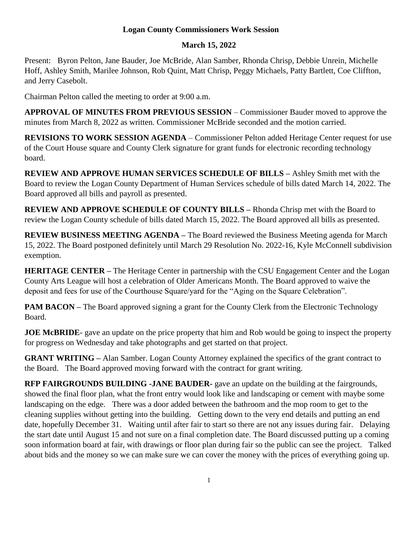## **Logan County Commissioners Work Session**

## **March 15, 2022**

Present: Byron Pelton, Jane Bauder, Joe McBride, Alan Samber, Rhonda Chrisp, Debbie Unrein, Michelle Hoff, Ashley Smith, Marilee Johnson, Rob Quint, Matt Chrisp, Peggy Michaels, Patty Bartlett, Coe Cliffton, and Jerry Casebolt.

Chairman Pelton called the meeting to order at 9:00 a.m.

**APPROVAL OF MINUTES FROM PREVIOUS SESSION** – Commissioner Bauder moved to approve the minutes from March 8, 2022 as written. Commissioner McBride seconded and the motion carried.

**REVISIONS TO WORK SESSION AGENDA** – Commissioner Pelton added Heritage Center request for use of the Court House square and County Clerk signature for grant funds for electronic recording technology board.

**REVIEW AND APPROVE HUMAN SERVICES SCHEDULE OF BILLS –** Ashley Smith met with the Board to review the Logan County Department of Human Services schedule of bills dated March 14, 2022. The Board approved all bills and payroll as presented.

**REVIEW AND APPROVE SCHEDULE OF COUNTY BILLS –** Rhonda Chrisp met with the Board to review the Logan County schedule of bills dated March 15, 2022. The Board approved all bills as presented.

**REVIEW BUSINESS MEETING AGENDA –** The Board reviewed the Business Meeting agenda for March 15, 2022. The Board postponed definitely until March 29 Resolution No. 2022-16, Kyle McConnell subdivision exemption.

**HERITAGE CENTER –** The Heritage Center in partnership with the CSU Engagement Center and the Logan County Arts League will host a celebration of Older Americans Month. The Board approved to waive the deposit and fees for use of the Courthouse Square/yard for the "Aging on the Square Celebration".

**PAM BACON** – The Board approved signing a grant for the County Clerk from the Electronic Technology Board.

**JOE** McBRIDE- gave an update on the price property that him and Rob would be going to inspect the property for progress on Wednesday and take photographs and get started on that project.

**GRANT WRITING –** Alan Samber. Logan County Attorney explained the specifics of the grant contract to the Board. The Board approved moving forward with the contract for grant writing.

**RFP FAIRGROUNDS BUILDING -JANE BAUDER-** gave an update on the building at the fairgrounds, showed the final floor plan, what the front entry would look like and landscaping or cement with maybe some landscaping on the edge. There was a door added between the bathroom and the mop room to get to the cleaning supplies without getting into the building. Getting down to the very end details and putting an end date, hopefully December 31. Waiting until after fair to start so there are not any issues during fair. Delaying the start date until August 15 and not sure on a final completion date. The Board discussed putting up a coming soon information board at fair, with drawings or floor plan during fair so the public can see the project. Talked about bids and the money so we can make sure we can cover the money with the prices of everything going up.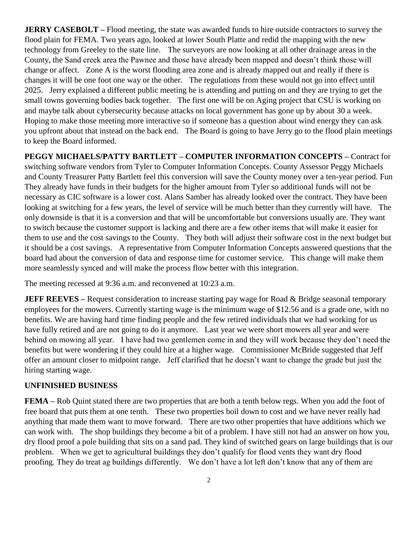**JERRY CASEBOLT** – Flood meeting, the state was awarded funds to hire outside contractors to survey the flood plain for FEMA. Two years ago, looked at lower South Platte and redid the mapping with the new technology from Greeley to the state line.The surveyors are now looking at all other drainage areas in the County, the Sand creek area the Pawnee and those have already been mapped and doesn't think those will change or affect. Zone A is the worst flooding area zone and is already mapped out and really if there is changes it will be one foot one way or the other. The regulations from these would not go into effect until 2025. Jerry explained a different public meeting he is attending and putting on and they are trying to get the small towns governing bodies back together. The first one will be on Aging project that CSU is working on and maybe talk about cybersecurity because attacks on local government has gone up by about 30 a week. Hoping to make those meeting more interactive so if someone has a question about wind energy they can ask you upfront about that instead on the back end. The Board is going to have Jerry go to the flood plain meetings to keep the Board informed.

**PEGGY MICHAELS/PATTY BARTLETT – COMPUTER INFORMATION CONCEPTS –** Contract for switching software vendors from Tyler to Computer Information Concepts. County Assessor Peggy Michaels and County Treasurer Patty Bartlett feel this conversion will save the County money over a ten-year period. Fun They already have funds in their budgets for the higher amount from Tyler so additional funds will not be necessary as CIC software is a lower cost. Alans Samber has already looked over the contract. They have been looking at switching for a few years, the level of service will be much better than they currently will have. The only downside is that it is a conversion and that will be uncomfortable but conversions usually are. They want to switch because the customer support is lacking and there are a few other items that will make it easier for them to use and the cost savings to the County. They both will adjust their software cost in the next budget but it should be a cost savings. A representative from Computer Information Concepts answered questions that the board had about the conversion of data and response time for customer service. This change will make them more seamlessly synced and will make the process flow better with this integration.

The meeting recessed at 9:36 a.m. and reconvened at 10:23 a.m.

**JEFF REEVES** – Request consideration to increase starting pay wage for Road & Bridge seasonal temporary employees for the mowers. Currently starting wage is the minimum wage of \$12.56 and is a grade one, with no benefits. We are having hard time finding people and the few retired individuals that we had working for us have fully retired and are not going to do it anymore. Last year we were short mowers all year and were behind on mowing all year. I have had two gentlemen come in and they will work because they don't need the benefits but were wondering if they could hire at a higher wage. Commissioner McBride suggested that Jeff offer an amount closer to midpoint range. Jeff clarified that he doesn't want to change the grade but just the hiring starting wage.

## **UNFINISHED BUSINESS**

**FEMA** – Rob Quint stated there are two properties that are both a tenth below regs. When you add the foot of free board that puts them at one tenth. These two properties boil down to cost and we have never really had anything that made them want to move forward. There are two other properties that have additions which we can work with. The shop buildings they become a bit of a problem. I have still not had an answer on how you, dry flood proof a pole building that sits on a sand pad. They kind of switched gears on large buildings that is our problem. When we get to agricultural buildings they don't qualify for flood vents they want dry flood proofing. They do treat ag buildings differently. We don't have a lot left don't know that any of them are